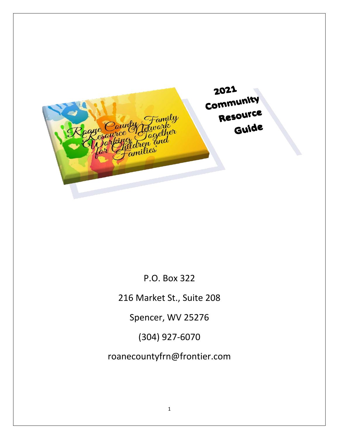

P.O. Box 322

216 Market St., Suite 208

Spencer, WV 25276

(304) 927-6070

roanecountyfrn@frontier.com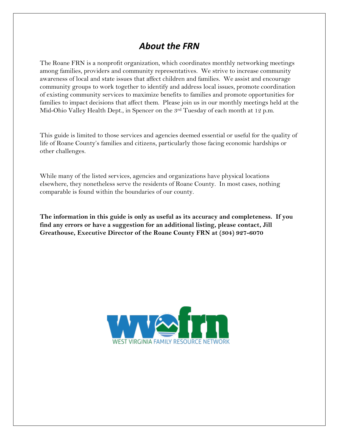#### *About the FRN*

The Roane FRN is a nonprofit organization, which coordinates monthly networking meetings among families, providers and community representatives. We strive to increase community awareness of local and state issues that affect children and families. We assist and encourage community groups to work together to identify and address local issues, promote coordination of existing community services to maximize benefits to families and promote opportunities for families to impact decisions that affect them. Please join us in our monthly meetings held at the Mid-Ohio Valley Health Dept., in Spencer on the 3rd Tuesday of each month at 12 p.m.

This guide is limited to those services and agencies deemed essential or useful for the quality of life of Roane County's families and citizens, particularly those facing economic hardships or other challenges.

While many of the listed services, agencies and organizations have physical locations elsewhere, they nonetheless serve the residents of Roane County. In most cases, nothing comparable is found within the boundaries of our county.

**The information in this guide is only as useful as its accuracy and completeness. If you find any errors or have a suggestion for an additional listing, please contact, Jill Greathouse, Executive Director of the Roane County FRN at (304) 927-6070**

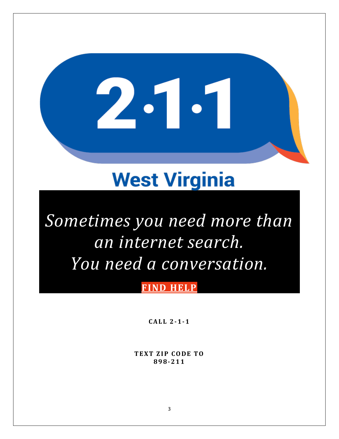# **West Virginia**

2.1.

# *Sometimes you need more than an internet search. You need a conversation.*

#### **FIND [HELP](https://prd.icarol.com/landing.html?token=1ae3b4f7-3057-4ae7-a501-6d78d8c9de57&cssMode=Publish&orgNum=126088&db=126088)**

**C A L L 2-1-1**

**TEXT ZIP CODE TO 898-211**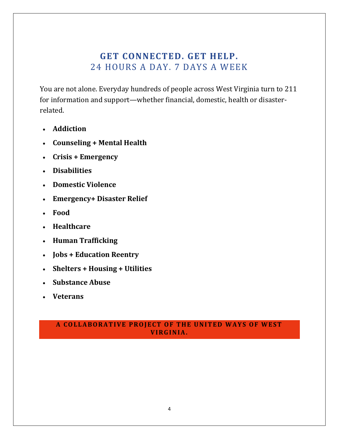#### **GET CONNECTED. GET HELP.** 24 HOURS A DAY. 7 DAYS A WEEK

You are not alone. Everyday hundreds of people across West Virginia turn to 211 for information and support—whether financial, domestic, health or disasterrelated.

- **Addiction**
- **Counseling + Mental Health**
- **Crisis + Emergency**
- **Disabilities**
- **Domestic Violence**
- **Emergency+ Disaster Relief**
- **Food**
- **Healthcare**
- **Human Trafficking**
- **Jobs + Education Reentry**
- **Shelters + Housing + Utilities**
- **Substance Abuse**
- **Veterans**

#### **A COLLABORATIVE PROJECT OF THE UNITED WAYS OF WEST V I R G I N I A .**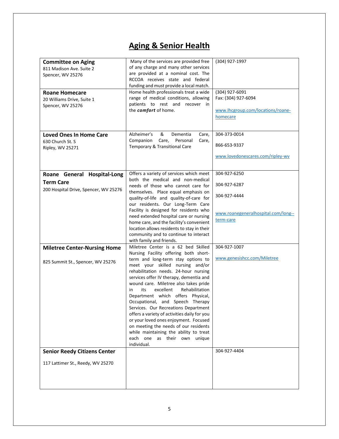# **Aging & Senior Health**

| <b>Committee on Aging</b><br>811 Madison Ave. Suite 2<br>Spencer, WV 25276<br><b>Roane Homecare</b><br>20 Williams Drive, Suite 1<br>Spencer, WV 25276 | Many of the services are provided free<br>of any charge and many other services<br>are provided at a nominal cost. The<br>RCCOA receives state and federal<br>funding and must provide a local match.<br>Home health professionals treat a wide<br>range of medical conditions, allowing<br>patients to rest and recover in<br>the comfort of home.                                                                                                                                                                                                                                                                                                                         | (304) 927-1997<br>(304) 927-6091<br>Fax: (304) 927-6094<br>www.lhcgroup.com/locations/roane-<br>homecare |
|--------------------------------------------------------------------------------------------------------------------------------------------------------|-----------------------------------------------------------------------------------------------------------------------------------------------------------------------------------------------------------------------------------------------------------------------------------------------------------------------------------------------------------------------------------------------------------------------------------------------------------------------------------------------------------------------------------------------------------------------------------------------------------------------------------------------------------------------------|----------------------------------------------------------------------------------------------------------|
| <b>Loved Ones In Home Care</b><br>630 Church St. S<br>Ripley, WV 25271                                                                                 | Alzheimer's<br>&<br>Dementia<br>Care,<br>Companion<br>Care,<br>Personal<br>Care,<br>Temporary & Transitional Care                                                                                                                                                                                                                                                                                                                                                                                                                                                                                                                                                           | 304-373-0014<br>866-653-9337<br>www.lovedonescares.com/ripley-wv                                         |
| Roane General Hospital-Long<br><b>Term Care</b><br>200 Hospital Drive, Spencer, WV 25276                                                               | Offers a variety of services which meet<br>both the medical and non-medical<br>needs of those who cannot care for<br>themselves. Place equal emphasis on<br>quality-of-life and quality-of-care for<br>our residents. Our Long-Term Care<br>Facility is designed for residents who<br>need extended hospital care or nursing<br>home care, and the facility's convenient<br>location allows residents to stay in their<br>community and to continue to interact<br>with family and friends.                                                                                                                                                                                 | 304-927-6250<br>304-927-6287<br>304-927-4444<br>www.roanegeneralhospital.com/long--<br>term-care         |
| <b>Miletree Center-Nursing Home</b><br>825 Summit St., Spencer, WV 25276                                                                               | Miletree Center is a 62 bed Skilled<br>Nursing Facility offering both short-<br>term and long-term stay options to<br>meet your skilled nursing and/or<br>rehabilitation needs. 24-hour nursing<br>services offer IV therapy, dementia and<br>wound care. Miletree also takes pride<br>excellent<br>Rehabilitation<br>its<br>in<br>Department which offers Physical,<br>Occupational, and Speech Therapy<br>Services. Our Recreations Department<br>offers a variety of activities daily for you<br>or your loved ones enjoyment. Focused<br>on meeting the needs of our residents<br>while maintaining the ability to treat<br>each one as their own unique<br>individual. | 304-927-1007<br>www.genesishcc.com/Miletree                                                              |
| <b>Senior Reedy Citizens Center</b><br>117 Lattimer St., Reedy, WV 25270                                                                               |                                                                                                                                                                                                                                                                                                                                                                                                                                                                                                                                                                                                                                                                             | 304-927-4404                                                                                             |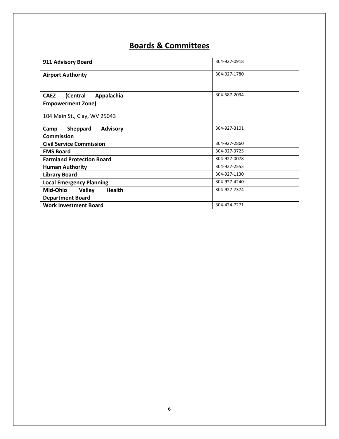### **Boards & Committees**

| 911 Advisory Board                         | 304-927-0918 |
|--------------------------------------------|--------------|
| <b>Airport Authority</b>                   | 304-927-1780 |
|                                            |              |
| <b>CAEZ</b><br>(Central<br>Appalachia      | 304-587-2034 |
| <b>Empowerment Zone)</b>                   |              |
| 104 Main St., Clay, WV 25043               |              |
|                                            |              |
| Sheppard<br><b>Advisory</b><br>Camp        | 304-927-3101 |
| <b>Commission</b>                          |              |
| <b>Civil Service Commission</b>            | 304-927-2860 |
| <b>EMS Board</b>                           | 304-927-3725 |
| <b>Farmland Protection Board</b>           | 304-927-0078 |
| <b>Human Authority</b>                     | 304-927-2555 |
| <b>Library Board</b>                       | 304-927-1130 |
| <b>Local Emergency Planning</b>            | 304-927-4240 |
| Mid-Ohio<br><b>Health</b><br><b>Valley</b> | 304-927-7374 |
| <b>Department Board</b>                    |              |
| <b>Work Investment Board</b>               | 304-424-7271 |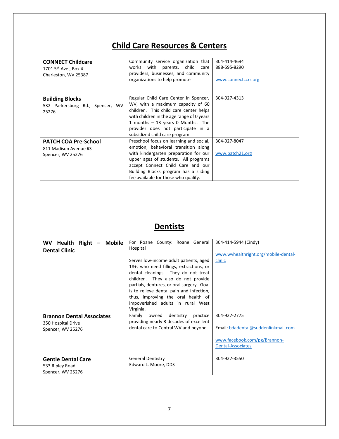# **Child Care Resources & Centers**

| <b>CONNECT Childcare</b><br>1701 5 <sup>th</sup> Ave., Box 4<br>Charleston, WV 25387 | Community service organization that<br>works with parents, child<br>care<br>providers, businesses, and community<br>organizations to help promote                                                                                                                                      | 304-414-4694<br>888-595-8290<br>www.connectccrr.org |
|--------------------------------------------------------------------------------------|----------------------------------------------------------------------------------------------------------------------------------------------------------------------------------------------------------------------------------------------------------------------------------------|-----------------------------------------------------|
| <b>Building Blocks</b><br>532 Parkersburg Rd., Spencer, WV<br>25276                  | Regular Child Care Center in Spencer,<br>WV, with a maximum capacity of 60<br>children. This child care center helps<br>with children in the age range of 0 years<br>1 months $-$ 13 years 0 Months. The<br>provider does not participate in a<br>subsidized child care program.       | 304-927-4313                                        |
| <b>PATCH COA Pre-School</b><br>811 Madison Avenue #3<br>Spencer, WV 25276            | Preschool focus on learning and social,<br>emotion, behavioral transition along<br>with kindergarten preparation for our<br>upper ages of students. All programs<br>accept Connect Child Care and our<br>Building Blocks program has a sliding<br>fee available for those who qualify. | 304-927-8047<br>www.patch21.org                     |

### **Dentists**

| Right<br><b>Mobile</b><br><b>WV</b><br><b>Health</b><br><b>Dental Clinic</b> | For Roane County: Roane General<br>Hospital<br>Serves low-income adult patients, aged<br>18+, who need fillings, extractions, or<br>dental cleanings. They do not treat<br>children. They also do not provide<br>partials, dentures, or oral surgery. Goal<br>is to relieve dental pain and infection,<br>thus, improving the oral health of<br>impoverished adults in rural West<br>Virginia. | 304-414-5944 (Cindy)<br>www.wvhealthright.org/mobile-dental-<br>clinic                                   |
|------------------------------------------------------------------------------|------------------------------------------------------------------------------------------------------------------------------------------------------------------------------------------------------------------------------------------------------------------------------------------------------------------------------------------------------------------------------------------------|----------------------------------------------------------------------------------------------------------|
| <b>Brannon Dental Associates</b><br>350 Hospital Drive<br>Spencer, WV 25276  | Family<br>owned<br>dentistry<br>practice<br>providing nearly 3 decades of excellent<br>dental care to Central WV and beyond.                                                                                                                                                                                                                                                                   | 304-927-2775<br>Email: bdadental@suddenlinkmail.com<br>www.facebook.com/pg/Brannon-<br>Dental-Associates |
| <b>Gentle Dental Care</b><br>533 Ripley Road<br>Spencer, WV 25276            | <b>General Dentistry</b><br>Edward L. Moore, DDS                                                                                                                                                                                                                                                                                                                                               | 304-927-3550                                                                                             |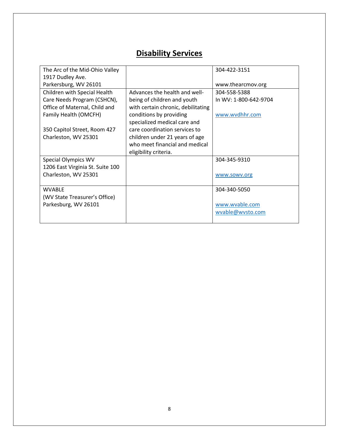### **Disability Services**

| The Arc of the Mid-Ohio Valley   |                                    | 304-422-3151          |
|----------------------------------|------------------------------------|-----------------------|
| 1917 Dudley Ave.                 |                                    |                       |
| Parkersburg, WV 26101            |                                    | www.thearcmov.org     |
| Children with Special Health     | Advances the health and well-      | 304-558-5388          |
| Care Needs Program (CSHCN),      | being of children and youth        | In WV: 1-800-642-9704 |
| Office of Maternal, Child and    | with certain chronic, debilitating |                       |
| Family Health (OMCFH)            | conditions by providing            | www.wvdhhr.com        |
|                                  | specialized medical care and       |                       |
| 350 Capitol Street, Room 427     | care coordination services to      |                       |
| Charleston, WV 25301             | children under 21 years of age     |                       |
|                                  | who meet financial and medical     |                       |
|                                  | eligibility criteria.              |                       |
| <b>Special Olympics WV</b>       |                                    | 304-345-9310          |
| 1206 East Virginia St. Suite 100 |                                    |                       |
| Charleston, WV 25301             |                                    | www.sowv.org          |
|                                  |                                    |                       |
| <b>WVABLE</b>                    |                                    | 304-340-5050          |
| (WV State Treasurer's Office)    |                                    |                       |
| Parkesburg, WV 26101             |                                    | www.wvable.com        |
|                                  |                                    | wvable@wvsto.com      |
|                                  |                                    |                       |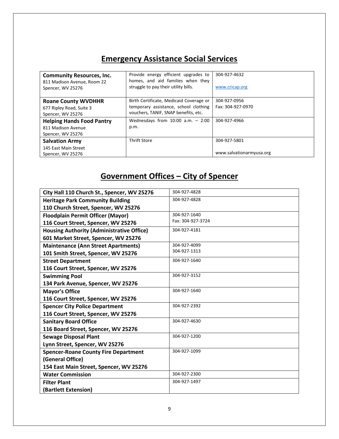#### **Emergency Assistance Social Services**

| <b>Community Resources, Inc.</b><br>811 Madison Avenue, Room 22<br>Spencer, WV 25276 | Provide energy efficient upgrades to<br>homes, and aid families when they<br>struggle to pay their utility bills.        | 304-927-4632<br>www.cricap.org           |
|--------------------------------------------------------------------------------------|--------------------------------------------------------------------------------------------------------------------------|------------------------------------------|
| <b>Roane County WVDHHR</b><br>677 Ripley Road, Suite 3<br>Spencer, WV 25276          | Birth Certificate, Medicaid Coverage or<br>temporary assistance, school clothing<br>vouchers, TANIF, SNAP benefits, etc. | 304-927-0956<br>Fax: 304-927-0970        |
| <b>Helping Hands Food Pantry</b><br>811 Madison Avenue<br>Spencer, WV 25276          | Wednesdays from $10:00$ a.m. $-2:00$<br>p.m.                                                                             | 304-927-4966                             |
| <b>Salvation Army</b><br>145 East Main Street<br>Spencer, WV 25276                   | <b>Thrift Store</b>                                                                                                      | 304-927-5801<br>www.salvationarmyusa.org |

# **Government Offices – City of Spencer**

| City Hall 110 Church St., Spencer, WV 25276      | 304-927-4828      |
|--------------------------------------------------|-------------------|
| <b>Heritage Park Community Building</b>          | 304-927-4828      |
| 110 Church Street, Spencer, WV 25276             |                   |
| <b>Floodplain Permit Officer (Mayor)</b>         | 304-927-1640      |
| 116 Court Street, Spencer, WV 25276              | Fax: 304-927-3724 |
| <b>Housing Authority (Administrative Office)</b> | 304-927-4181      |
| 601 Market Street, Spencer, WV 25276             |                   |
| <b>Maintenance (Ann Street Apartments)</b>       | 304-927-4099      |
| 101 Smith Street, Spencer, WV 25276              | 304-927-1313      |
| <b>Street Department</b>                         | 304-927-1640      |
| 116 Court Street, Spencer, WV 25276              |                   |
| <b>Swimming Pool</b>                             | 304-927-3152      |
| 134 Park Avenue, Spencer, WV 25276               |                   |
| <b>Mayor's Office</b>                            | 304-927-1640      |
| 116 Court Street, Spencer, WV 25276              |                   |
| <b>Spencer City Police Department</b>            | 304-927-2392      |
| 116 Court Street, Spencer, WV 25276              |                   |
| <b>Sanitary Board Office</b>                     | 304-927-4630      |
| 116 Board Street, Spencer, WV 25276              |                   |
| <b>Sewage Disposal Plant</b>                     | 304-927-1200      |
| Lynn Street, Spencer, WV 25276                   |                   |
| <b>Spencer-Roane County Fire Department</b>      | 304-927-1099      |
| (General Office)                                 |                   |
| 154 East Main Street, Spencer, WV 25276          |                   |
| <b>Water Commission</b>                          | 304-927-2300      |
| <b>Filter Plant</b>                              | 304-927-1497      |
| (Bartlett Extension)                             |                   |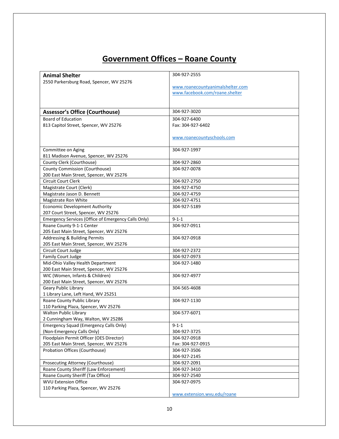### **Government Offices – Roane County**

| <b>Animal Shelter</b>                               | 304-927-2555                     |
|-----------------------------------------------------|----------------------------------|
| 2550 Parkersburg Road, Spencer, WV 25276            |                                  |
|                                                     | www.roanecountyanimalshelter.com |
|                                                     | www.facebook.com/roane.shelter   |
|                                                     |                                  |
|                                                     |                                  |
| <b>Assessor's Office (Courthouse)</b>               | 304-927-3020                     |
| <b>Board of Education</b>                           | 304-927-6400                     |
| 813 Capitol Street, Spencer, WV 25276               | Fax: 304-927-6402                |
|                                                     |                                  |
|                                                     | www.roanecountyschools.com       |
|                                                     |                                  |
| Committee on Aging                                  | 304-927-1997                     |
| 811 Madison Avenue, Spencer, WV 25276               |                                  |
| County Clerk (Courthouse)                           | 304-927-2860                     |
| County Commission (Courthouse)                      | 304-927-0078                     |
| 200 East Main Street, Spencer, WV 25276             |                                  |
| <b>Circuit Court Clerk</b>                          | 304-927-2750                     |
| Magistrate Court (Clerk)                            | 304-927-4750                     |
| Magistrate Jason D. Bennett                         | 304-927-4759                     |
| Magistrate Ron White                                | 304-927-4751                     |
| <b>Economic Development Authority</b>               | 304-927-5189                     |
| 207 Court Street, Spencer, WV 25276                 |                                  |
| Emergency Services (Office of Emergency Calls Only) | $9 - 1 - 1$                      |
| Roane County 9-1-1 Center                           | 304-927-0911                     |
| 205 East Main Street, Spencer, WV 25276             |                                  |
| <b>Addressing &amp; Building Permits</b>            | 304-927-0918                     |
| 205 East Main Street, Spencer, WV 25276             |                                  |
| Circuit Court Judge                                 | 304-927-2372                     |
| Family Court Judge                                  | 304-927-0973                     |
| Mid-Ohio Valley Health Department                   | 304-927-1480                     |
| 200 East Main Street, Spencer, WV 25276             |                                  |
| WIC (Women, Infants & Children)                     | 304-927-4977                     |
| 200 East Main Street, Spencer, WV 25276             |                                  |
| Geary Public Library                                | 304-565-4608                     |
| 1 Library Lane, Left Hand, WV 25251                 |                                  |
| Roane County Public Library                         | 304-927-1130                     |
| 110 Parking Plaza, Spencer, WV 25276                |                                  |
| <b>Walton Public Library</b>                        | 304-577-6071                     |
| 2 Cunningham Way, Walton, WV 25286                  |                                  |
| <b>Emergency Squad (Emergency Calls Only)</b>       | $9 - 1 - 1$                      |
| (Non-Emergency Calls Only)                          | 304-927-3725                     |
| Floodplain Permit Officer (OES Director)            | 304-927-0918                     |
| 205 East Main Street, Spencer, WV 25276             | Fax: 304-927-0915                |
| Probation Offices (Courthouse)                      | 304-927-3506                     |
|                                                     | 304-927-2145                     |
| Prosecuting Attorney (Courthouse)                   | 304-927-2091                     |
| Roane County Sheriff (Law Enforcement)              | 304-927-3410                     |
| Roane County Sheriff (Tax Office)                   | 304-927-2540                     |
| <b>WVU Extension Office</b>                         | 304-927-0975                     |
| 110 Parking Plaza, Spencer, WV 25276                |                                  |
|                                                     | www.extension.wvu.edu/roane      |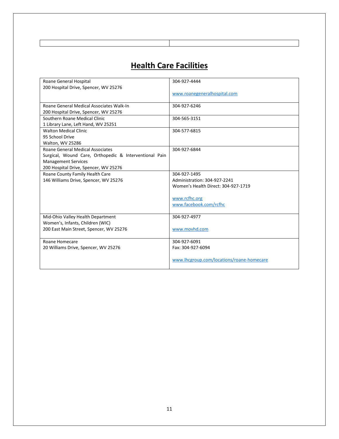#### **Health Care Facilities**

| Roane General Hospital                                 | 304-927-4444                              |
|--------------------------------------------------------|-------------------------------------------|
| 200 Hospital Drive, Spencer, WV 25276                  |                                           |
|                                                        | www.roanegeneralhospital.com              |
|                                                        |                                           |
| Roane General Medical Associates Walk-In               | 304-927-6246                              |
| 200 Hospital Drive, Spencer, WV 25276                  |                                           |
| Southern Roane Medical Clinic                          | 304-565-3151                              |
| 1 Library Lane, Left Hand, WV 25251                    |                                           |
| <b>Walton Medical Clinic</b>                           | 304-577-6815                              |
| 95 School Drive                                        |                                           |
| Walton, WV 25286                                       |                                           |
| Roane General Medical Associates                       | 304-927-6844                              |
| Surgical, Wound Care, Orthopedic & Interventional Pain |                                           |
| <b>Management Services</b>                             |                                           |
| 200 Hospital Drive, Spencer, WV 25276                  |                                           |
| Roane County Family Health Care                        | 304-927-1495                              |
| 146 Williams Drive, Spencer, WV 25276                  | Administration: 304-927-2241              |
|                                                        | Women's Health Direct: 304-927-1719       |
|                                                        |                                           |
|                                                        | www.rcfhc.org                             |
|                                                        | www.facebook.com/rcfhc                    |
|                                                        |                                           |
| Mid-Ohio Valley Health Department                      | 304-927-4977                              |
| Women's, Infants, Children (WIC)                       |                                           |
| 200 East Main Street, Spencer, WV 25276                | www.movhd.com                             |
|                                                        |                                           |
| Roane Homecare                                         | 304-927-6091                              |
| 20 Williams Drive, Spencer, WV 25276                   | Fax: 304-927-6094                         |
|                                                        |                                           |
|                                                        | www.lhcgroup.com/locations/roane-homecare |
|                                                        |                                           |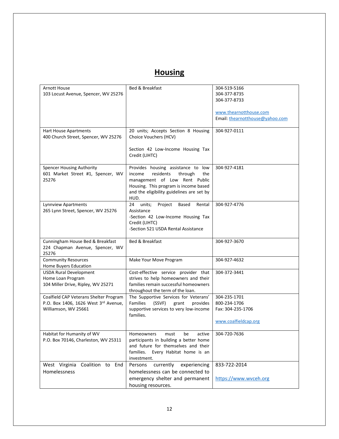### **Housing**

| Arnott House<br>103 Locust Avenue, Spencer, WV 25276                                                   | Bed & Breakfast                                                                                                                                                                                            | 304-519-5166<br>304-377-8735<br>304-377-8733<br>www.thearnotthouse.com<br>Email: thearnotthouse@yahoo.com |
|--------------------------------------------------------------------------------------------------------|------------------------------------------------------------------------------------------------------------------------------------------------------------------------------------------------------------|-----------------------------------------------------------------------------------------------------------|
| Hart House Apartments<br>400 Church Street, Spencer, WV 25276                                          | 20 units; Accepts Section 8 Housing<br>Choice Vouchers (HCV)<br>Section 42 Low-Income Housing Tax<br>Credit (LIHTC)                                                                                        | 304-927-0111                                                                                              |
| <b>Spencer Housing Authority</b><br>601 Market Street #1, Spencer, WV<br>25276                         | Provides housing assistance to low<br>residents<br>income<br>through<br>the<br>management of Low Rent Public<br>Housing. This program is income based<br>and the eligibility guidelines are set by<br>HUD. | 304-927-4181                                                                                              |
| Lynnview Apartments<br>265 Lynn Street, Spencer, WV 25276                                              | Project<br>units;<br>Based<br>Rental<br>24<br>Assistance<br>-Section 42 Low-Income Housing Tax<br>Credit (LIHTC)<br>-Section 521 USDA Rental Assistance                                                    | 304-927-4776                                                                                              |
| Cunningham House Bed & Breakfast<br>224 Chapman Avenue, Spencer, WV<br>25276                           | Bed & Breakfast                                                                                                                                                                                            | 304-927-3670                                                                                              |
| <b>Community Resources</b><br>Home Buyers Education                                                    | Make Your Move Program                                                                                                                                                                                     | 304-927-4632                                                                                              |
| <b>USDA Rural Development</b><br>Home Loan Program<br>104 Miller Drive, Ripley, WV 25271               | Cost-effective service provider that<br>strives to help homeowners and their<br>families remain successful homeowners<br>throughout the term of the loan.                                                  | 304-372-3441                                                                                              |
| Coalfield CAP Veterans Shelter Program<br>P.O. Box 1406, 1626 West 3rd Avenue,<br>Williamson, WV 25661 | The Supportive Services for Veterans'<br>Families<br>(SSVF)<br>grant<br>provides<br>supportive services to very low-income<br>families.                                                                    | 304-235-1701<br>800-234-1706<br>Fax: 304-235-1706<br>www.coalfieldcap.org                                 |
| Habitat for Humanity of WV<br>P.O. Box 70146, Charleston, WV 25311                                     | Homeowners<br>must<br>be<br>active<br>participants in building a better home<br>and future for themselves and their<br>families. Every Habitat home is an<br>investment.                                   | 304-720-7636                                                                                              |
| West Virginia<br>Coalition to End<br>Homelessness                                                      | Persons<br>currently<br>experiencing<br>homelessness can be connected to<br>emergency shelter and permanent<br>housing resources.                                                                          | 833-722-2014<br>https://www.wvceh.org                                                                     |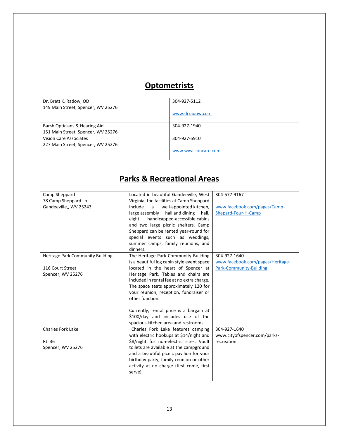#### **Optometrists**

| Dr. Brett K. Radow, OD             | 304-927-5112         |
|------------------------------------|----------------------|
| 149 Main Street, Spencer, WV 25276 |                      |
|                                    | www.drradow.com      |
|                                    |                      |
| Barsh Opticians & Hearing Aid      | 304-927-1940         |
| 151 Main Street, Spencer, WV 25276 |                      |
| Vision Care Associates             | 304-927-5910         |
| 227 Main Street, Spencer, WV 25276 |                      |
|                                    | www.wvvisioncare.com |
|                                    |                      |

| Camp Sheppard<br>78 Camp Sheppard Ln<br>Gandeeville,, WV 25243 | Located in beautiful Gandeeville, West<br>Virginia, the facilities at Camp Sheppard<br>well-appointed kitchen,<br>include<br>$\overline{a}$<br>large assembly hall and dining<br>hall,<br>handicapped-accessible cabins<br>eight<br>and two large picnic shelters. Camp<br>Sheppard can be rented year-round for<br>special events such as weddings,<br>summer camps, family reunions, and<br>dinners. | 304-577-9167<br>www.facebook.com/pages/Camp-<br>Shepard-Four-H-Camp |
|----------------------------------------------------------------|--------------------------------------------------------------------------------------------------------------------------------------------------------------------------------------------------------------------------------------------------------------------------------------------------------------------------------------------------------------------------------------------------------|---------------------------------------------------------------------|
| Heritage Park Community Building                               | The Heritage Park Community Building                                                                                                                                                                                                                                                                                                                                                                   | 304-927-1640                                                        |
|                                                                | is a beautiful log cabin style event space                                                                                                                                                                                                                                                                                                                                                             | www.facebook.com/pages/Heritage-                                    |
| 116 Court Street                                               | located in the heart of Spencer at                                                                                                                                                                                                                                                                                                                                                                     | <b>Park-Community-Building</b>                                      |
| Spencer, WV 25276                                              | Heritage Park. Tables and chairs are<br>included in rental fee at no extra charge.                                                                                                                                                                                                                                                                                                                     |                                                                     |
|                                                                | The space seats approximately 120 for                                                                                                                                                                                                                                                                                                                                                                  |                                                                     |
|                                                                | your reunion, reception, fundraiser or                                                                                                                                                                                                                                                                                                                                                                 |                                                                     |
|                                                                | other function.                                                                                                                                                                                                                                                                                                                                                                                        |                                                                     |
|                                                                |                                                                                                                                                                                                                                                                                                                                                                                                        |                                                                     |
|                                                                | Currently, rental price is a bargain at                                                                                                                                                                                                                                                                                                                                                                |                                                                     |
|                                                                | \$100/day and includes use of the                                                                                                                                                                                                                                                                                                                                                                      |                                                                     |
|                                                                | spacious kitchen area and restrooms.                                                                                                                                                                                                                                                                                                                                                                   |                                                                     |
| <b>Charles Fork Lake</b>                                       | Charles Fork Lake features camping                                                                                                                                                                                                                                                                                                                                                                     | 304-927-1640                                                        |
|                                                                | with electric hookups at \$14/night and                                                                                                                                                                                                                                                                                                                                                                | www.cityofspencer.com/parks-                                        |
| Rt. 36                                                         | \$8/night for non-electric sites. Vault                                                                                                                                                                                                                                                                                                                                                                | recreation                                                          |
| Spencer, WV 25276                                              | toilets are available at the campground                                                                                                                                                                                                                                                                                                                                                                |                                                                     |
|                                                                | and a beautiful picnic pavilion for your                                                                                                                                                                                                                                                                                                                                                               |                                                                     |
|                                                                | birthday party, family reunion or other                                                                                                                                                                                                                                                                                                                                                                |                                                                     |
|                                                                | activity at no charge (first come, first                                                                                                                                                                                                                                                                                                                                                               |                                                                     |
|                                                                | serve).                                                                                                                                                                                                                                                                                                                                                                                                |                                                                     |
|                                                                |                                                                                                                                                                                                                                                                                                                                                                                                        |                                                                     |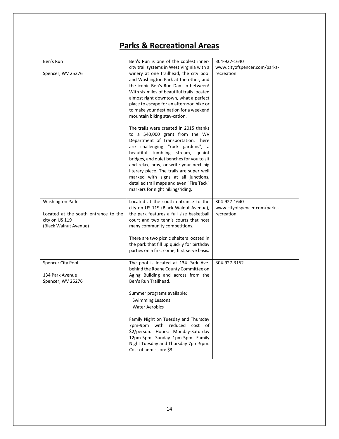| Ben's Run                            | Ben's Run is one of the coolest inner-                                          | 304-927-1640                 |
|--------------------------------------|---------------------------------------------------------------------------------|------------------------------|
|                                      | city trail systems in West Virginia with a                                      | www.cityofspencer.com/parks- |
| Spencer, WV 25276                    | winery at one trailhead, the city pool                                          | recreation                   |
|                                      | and Washington Park at the other, and                                           |                              |
|                                      | the iconic Ben's Run Dam in between!                                            |                              |
|                                      | With six miles of beautiful trails located                                      |                              |
|                                      | almost right downtown, what a perfect                                           |                              |
|                                      | place to escape for an afternoon hike or                                        |                              |
|                                      | to make your destination for a weekend                                          |                              |
|                                      | mountain biking stay-cation.                                                    |                              |
|                                      |                                                                                 |                              |
|                                      | The trails were created in 2015 thanks                                          |                              |
|                                      | to a \$40,000 grant from the WV                                                 |                              |
|                                      | Department of Transportation. There                                             |                              |
|                                      | are challenging "rock gardens", a                                               |                              |
|                                      | beautiful tumbling stream, quaint                                               |                              |
|                                      | bridges, and quiet benches for you to sit                                       |                              |
|                                      | and relax, pray, or write your next big                                         |                              |
|                                      | literary piece. The trails are super well                                       |                              |
|                                      | marked with signs at all junctions,<br>detailed trail maps and even "Fire Tack" |                              |
|                                      | markers for night hiking/riding.                                                |                              |
|                                      |                                                                                 |                              |
| <b>Washington Park</b>               | Located at the south entrance to the                                            | 304-927-1640                 |
|                                      | city on US 119 (Black Walnut Avenue),                                           | www.cityofspencer.com/parks- |
| Located at the south entrance to the | the park features a full size basketball                                        | recreation                   |
| city on US 119                       | court and two tennis courts that host                                           |                              |
| (Black Walnut Avenue)                | many community competitions.                                                    |                              |
|                                      |                                                                                 |                              |
|                                      | There are two picnic shelters located in                                        |                              |
|                                      | the park that fill up quickly for birthday                                      |                              |
|                                      | parties on a first come, first serve basis.                                     |                              |
| Spencer City Pool                    | The pool is located at 134 Park Ave.                                            | 304-927-3152                 |
|                                      | behind the Roane County Committee on                                            |                              |
| 134 Park Avenue                      | Aging Building and across from the                                              |                              |
| Spencer, WV 25276                    | Ben's Run Trailhead.                                                            |                              |
|                                      |                                                                                 |                              |
|                                      | Summer programs available:                                                      |                              |
|                                      | <b>Swimming Lessons</b>                                                         |                              |
|                                      | <b>Water Aerobics</b>                                                           |                              |
|                                      |                                                                                 |                              |
|                                      | Family Night on Tuesday and Thursday                                            |                              |
|                                      | 7pm-9pm with reduced cost of                                                    |                              |
|                                      | \$2/person. Hours: Monday-Saturday                                              |                              |
|                                      | 12pm-5pm. Sunday 1pm-5pm. Family                                                |                              |
|                                      | Night Tuesday and Thursday 7pm-9pm.<br>Cost of admission: \$3                   |                              |
|                                      |                                                                                 |                              |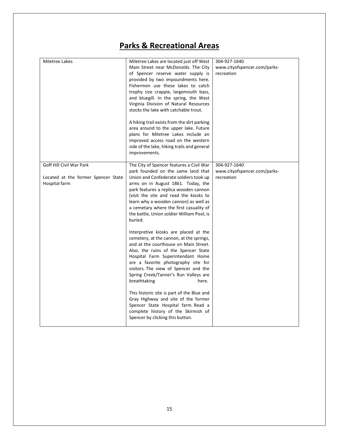| Miletree Lakes                                                                   | Miletree Lakes are located just off West<br>Main Street near McDonalds. The City<br>of Spencer reserve water supply is<br>provided by two impoundments here.<br>Fishermen use these lakes to catch<br>trophy size crappie, largemouth bass,<br>and bluegill. In the spring, the West<br>Virginia Division of Natural Resources<br>stocks the lake with catchable trout.<br>A hiking trail exists from the dirt parking<br>area around to the upper lake. Future<br>plans for Miletree Lakes include an<br>improved access road on the western<br>side of the lake, hiking trails and general<br>improvements. | 304-927-1640<br>www.cityofspencer.com/parks-<br>recreation |
|----------------------------------------------------------------------------------|---------------------------------------------------------------------------------------------------------------------------------------------------------------------------------------------------------------------------------------------------------------------------------------------------------------------------------------------------------------------------------------------------------------------------------------------------------------------------------------------------------------------------------------------------------------------------------------------------------------|------------------------------------------------------------|
| Goff Hill Civil War Park<br>Located at the former Spencer State<br>Hospital farm | The City of Spencer features a Civil War<br>park founded on the same land that<br>Union and Confederate soldiers took up<br>arms on in August 1861. Today, the<br>park features a replica wooden cannon<br>(visit the site and read the kiosks to<br>learn why a wooden cannon) as well as<br>a cemetary where the first casuality of<br>the battle, Union soldier William Pool, is<br>buried.                                                                                                                                                                                                                | 304-927-1640<br>www.cityofspencer.com/parks-<br>recreation |
|                                                                                  | Interpretive kiosks are placed at the<br>cemetery, at the cannon, at the springs,<br>and at the courthouse on Main Street.<br>Also, the ruins of the Spencer State<br>Hospital Farm Superintendant Home<br>are a favorite photography site for<br>visitors. The view of Spencer and the<br>Spring Creek/Tanner's Run Valleys are<br>breathtaking<br>here.                                                                                                                                                                                                                                                     |                                                            |
|                                                                                  | This historic site is part of the Blue and<br>Gray Highway and site of the former<br>Spencer State Hospital farm. Read a<br>complete history of the Skirmish of<br>Spencer by clicking this button.                                                                                                                                                                                                                                                                                                                                                                                                           |                                                            |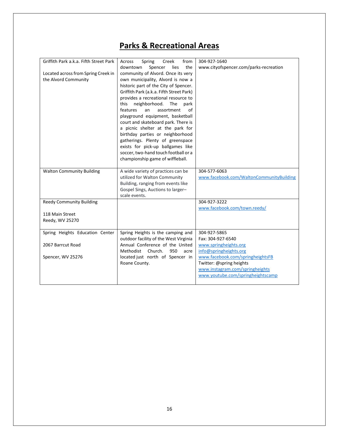| Griffith Park a.k.a. Fifth Street Park                      | Across<br>Creek<br>from<br>Spring                                       | 304-927-1640                                               |
|-------------------------------------------------------------|-------------------------------------------------------------------------|------------------------------------------------------------|
|                                                             | the<br>downtown<br>Spencer<br>lies                                      | www.cityofspencer.com/parks-recreation                     |
| Located across from Spring Creek in<br>the Alvord Community | community of Alvord. Once its very<br>own municipality, Alvord is now a |                                                            |
|                                                             | historic part of the City of Spencer.                                   |                                                            |
|                                                             | Griffith Park (a.k.a. Fifth Street Park)                                |                                                            |
|                                                             | provides a recreational resource to                                     |                                                            |
|                                                             | neighborhood.<br>this<br>The<br>park                                    |                                                            |
|                                                             | features<br>of<br>an<br>assortment                                      |                                                            |
|                                                             | playground equipment, basketball<br>court and skateboard park. There is |                                                            |
|                                                             | a picnic shelter at the park for                                        |                                                            |
|                                                             | birthday parties or neighborhood                                        |                                                            |
|                                                             | gatherings. Plenty of greenspace                                        |                                                            |
|                                                             | exists for pick-up ballgames like                                       |                                                            |
|                                                             | soccer, two-hand touch football or a                                    |                                                            |
|                                                             | championship game of wiffleball.                                        |                                                            |
| <b>Walton Community Building</b>                            | A wide variety of practices can be                                      | 304-577-6063                                               |
|                                                             | utilized for Walton Community                                           | www.facebook.com/WaltonCommunityBuilding                   |
|                                                             | Building, ranging from events like                                      |                                                            |
|                                                             | Gospel Sings, Auctions to larger-<br>scale events.                      |                                                            |
| <b>Reedy Community Building</b>                             |                                                                         | 304-927-3222                                               |
|                                                             |                                                                         | www.facebook.com/town.reedy/                               |
| 118 Main Street                                             |                                                                         |                                                            |
| Reedy, WV 25270                                             |                                                                         |                                                            |
| Spring Heights Education Center                             | Spring Heights is the camping and                                       | 304-927-5865                                               |
|                                                             | outdoor facility of the West Virginia                                   | Fax: 304-927-6540                                          |
| 2067 Barrcut Road                                           | Annual Conference of the United                                         | www.springheights.org                                      |
| Spencer, WV 25276                                           | Methodist Church.<br>950<br>acre<br>located just north of Spencer in    | info@springheights.org<br>www.facebook.com/springheightsFB |
|                                                             | Roane County.                                                           | Twitter: @spring heights                                   |
|                                                             |                                                                         |                                                            |
|                                                             |                                                                         | www.instagram.com/springheights                            |
|                                                             |                                                                         | www.youtube.com/springheightscamp                          |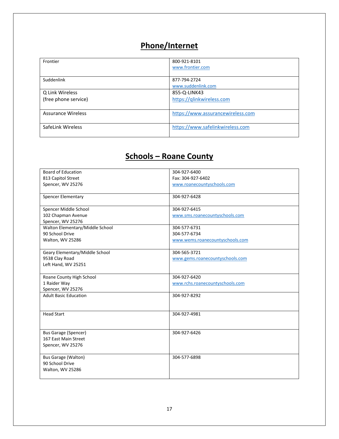# **Phone/Internet**

| Frontier                  | 800-921-8101<br>www.frontier.com   |
|---------------------------|------------------------------------|
| Suddenlink                | 877-794-2724<br>www.suddenlink.com |
| Q Link Wireless           | 855-Q-LINK43                       |
| (free phone service)      | https://qlinkwireless.com          |
| <b>Assurance Wireless</b> | https://www.assurancewireless.com  |
| SafeLink Wireless         | https://www.safelinkwireless.com   |

### **Schools – Roane County**

| <b>Board of Education</b>       | 304-927-6400                    |
|---------------------------------|---------------------------------|
| 813 Capitol Street              | Fax: 304-927-6402               |
| Spencer, WV 25276               | www.roanecountyschools.com      |
|                                 |                                 |
| <b>Spencer Elementary</b>       | 304-927-6428                    |
|                                 |                                 |
| Spencer Middle School           | 304-927-6415                    |
| 102 Chapman Avenue              | www.sms.roanecountyschools.com  |
| Spencer, WV 25276               |                                 |
| Walton Elementary/Middle School | 304-577-6731                    |
| 90 School Drive                 | 304-577-6734                    |
| Walton, WV 25286                | www.wems.roanecountyschools.com |
|                                 |                                 |
| Geary Elementary/Middle School  | 304-565-3721                    |
| 9538 Clay Road                  | www.gems.roanecountyschools.com |
| Left Hand, WV 25251             |                                 |
|                                 |                                 |
| Roane County High School        | 304-927-6420                    |
| 1 Raider Way                    | www.rchs.roanecountyschools.com |
| Spencer, WV 25276               |                                 |
| <b>Adult Basic Education</b>    | 304-927-8292                    |
|                                 |                                 |
|                                 |                                 |
| <b>Head Start</b>               | 304-927-4981                    |
|                                 |                                 |
|                                 |                                 |
| <b>Bus Garage (Spencer)</b>     | 304-927-6426                    |
| 167 East Main Street            |                                 |
| Spencer, WV 25276               |                                 |
|                                 |                                 |
| <b>Bus Garage (Walton)</b>      | 304-577-6898                    |
| 90 School Drive                 |                                 |
| Walton, WV 25286                |                                 |
|                                 |                                 |
|                                 |                                 |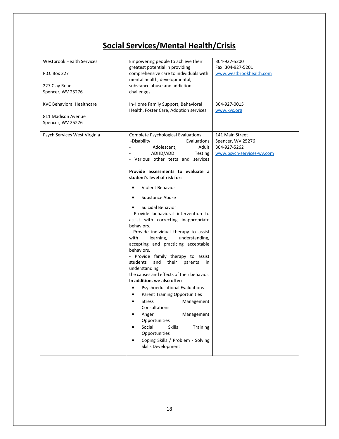# **Social Services/Mental Health/Crisis**

| <b>Westbrook Health Services</b><br>P.O. Box 227<br>227 Clay Road<br>Spencer, WV 25276<br><b>KVC Behavioral Healthcare</b><br>811 Madison Avenue<br>Spencer, WV 25276 | Empowering people to achieve their<br>greatest potential in providing<br>comprehensive care to individuals with<br>mental health, developmental,<br>substance abuse and addiction<br>challenges<br>In-Home Family Support, Behavioral<br>Health, Foster Care, Adoption services                                                                                                                                                                                                                                                                                                                                                                                                                                                                                                                                                                                                                                                                                                                                                                          | 304-927-5200<br>Fax: 304-927-5201<br>www.westbrookhealth.com<br>304-927-0015<br>www.kvc.org |
|-----------------------------------------------------------------------------------------------------------------------------------------------------------------------|----------------------------------------------------------------------------------------------------------------------------------------------------------------------------------------------------------------------------------------------------------------------------------------------------------------------------------------------------------------------------------------------------------------------------------------------------------------------------------------------------------------------------------------------------------------------------------------------------------------------------------------------------------------------------------------------------------------------------------------------------------------------------------------------------------------------------------------------------------------------------------------------------------------------------------------------------------------------------------------------------------------------------------------------------------|---------------------------------------------------------------------------------------------|
| Psych Services West Virginia                                                                                                                                          | <b>Complete Psychological Evaluations</b><br>-Disability<br>Evaluations<br>Adolescent,<br>Adult<br>ADHD/ADD<br>Testing<br>- Various other tests and services<br>Provide assessments to evaluate a<br>student's level of risk for:<br>Violent Behavior<br>Substance Abuse<br>Suicidal Behavior<br>- Provide behavioral intervention to<br>assist with correcting inappropriate<br>behaviors.<br>- Provide individual therapy to assist<br>with<br>learning,<br>understanding,<br>accepting and practicing acceptable<br>behaviors.<br>- Provide family therapy to assist<br>students<br>and<br>their<br>parents<br>in<br>understanding<br>the causes and effects of their behavior.<br>In addition, we also offer:<br><b>Psychoeducational Evaluations</b><br>$\bullet$<br><b>Parent Training Opportunities</b><br>٠<br><b>Stress</b><br>Management<br>$\bullet$<br>Consultations<br>Management<br>Anger<br>Opportunities<br>Social<br><b>Skills</b><br>Training<br>$\bullet$<br>Opportunities<br>Coping Skills / Problem - Solving<br>Skills Development | 141 Main Street<br>Spencer, WV 25276<br>304-927-5262<br>www.psych-services-wv.com           |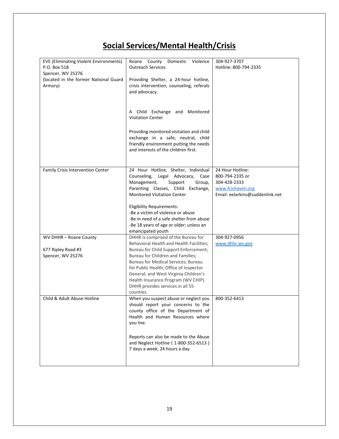# **Social Services/Mental Health/Crisis**

| <b>EVE (Eliminating Violent Environments)</b><br>P.O. Box 518<br>Spencer, WV 25276 | Roane County Domestic Violence<br><b>Outreach Services</b>                                                                                                       | 304-927-3707<br>Hotline: 800-794-2335 |
|------------------------------------------------------------------------------------|------------------------------------------------------------------------------------------------------------------------------------------------------------------|---------------------------------------|
| (located in the former National Guard<br>Armory)                                   | Providing Shelter, a 24-hour hotline,<br>crisis intervention, counseling, referals<br>and advocacy.                                                              |                                       |
|                                                                                    | A Child Exchange and Monitored<br><b>Visitation Center</b>                                                                                                       |                                       |
|                                                                                    | Providing monitored visitation and child<br>exchange in a safe, neutral, child<br>friendly environment putting the needs<br>and interests of the children first. |                                       |
| Family Crisis Intervention Center                                                  | 24 Hour Hotline, Shelter, Individual<br>Counseling, Legal Advocacy,<br>Case                                                                                      | 24 Hour Hotline:<br>800-794-2335 or   |
|                                                                                    | Management,<br>Support<br>Group,                                                                                                                                 | 304-428-2333                          |
|                                                                                    | Parenting Classes, Child Exchange,                                                                                                                               | www.fcichaven.org                     |
|                                                                                    | <b>Monitored Visitation Center</b>                                                                                                                               | Email: eelarkins@suddenlink.net       |
|                                                                                    | <b>Eligibility Requirements:</b>                                                                                                                                 |                                       |
|                                                                                    | -Be a victim of violence or abuse<br>-Be in need of a safe shelter from abuse                                                                                    |                                       |
|                                                                                    | -Be 18 years of age or older; unless an                                                                                                                          |                                       |
|                                                                                    | emancipated youth                                                                                                                                                |                                       |
| WV DHHR - Roane County                                                             | DHHR is comprised of the Bureau for<br>Behavioral Health and Health Facilities;                                                                                  | 304-927-0956<br>www.dhhr.wv.gov       |
| 677 Ripley Road #3                                                                 | Bureau for Child Support Enforcement;                                                                                                                            |                                       |
| Spencer, WV 25276                                                                  | Bureau for Children and Families;                                                                                                                                |                                       |
|                                                                                    | Bureau for Medical Services; Bureau                                                                                                                              |                                       |
|                                                                                    | for Public Health; Office of Inspector<br>General; and West Virginia Children's                                                                                  |                                       |
|                                                                                    | Health Insurance Program (WV CHIP).                                                                                                                              |                                       |
|                                                                                    | DHHR provides services in all 55                                                                                                                                 |                                       |
| Child & Adult Abuse Hotline                                                        | counties.<br>When you suspect abuse or neglect you                                                                                                               | 800-352-6413                          |
|                                                                                    | should report your concerns to the                                                                                                                               |                                       |
|                                                                                    | county office of the Department of<br>Health and Human Resources where<br>you live.                                                                              |                                       |
|                                                                                    |                                                                                                                                                                  |                                       |
|                                                                                    | Reports can also be made to the Abuse                                                                                                                            |                                       |
|                                                                                    | and Neglect Hotline (1-800-352-6513)                                                                                                                             |                                       |
|                                                                                    | 7 days a week, 24 hours a day.                                                                                                                                   |                                       |
|                                                                                    |                                                                                                                                                                  |                                       |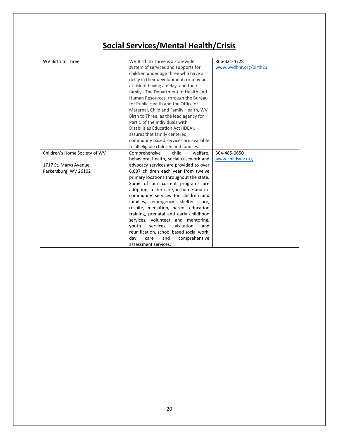# **Social Services/Mental Health/Crisis**

| <b>WV Birth to Three</b>      | WV Birth to Three is a statewide         | 866-321-4728           |
|-------------------------------|------------------------------------------|------------------------|
|                               | system of services and supports for      | www.wvdhhr.org/birth23 |
|                               | children under age three who have a      |                        |
|                               | delay in their development, or may be    |                        |
|                               | at risk of having a delay, and their     |                        |
|                               | family. The Department of Health and     |                        |
|                               | Human Resources, through the Bureau      |                        |
|                               | for Public Health and the Office of      |                        |
|                               | Maternal, Child and Family Health, WV    |                        |
|                               | Birth to Three, as the lead agency for   |                        |
|                               | Part C of the Individuals with           |                        |
|                               | Disabilities Education Act (IDEA),       |                        |
|                               | assures that family centered,            |                        |
|                               | community based services are available   |                        |
|                               | to all eligible children and families.   |                        |
| Children's Home Society of WV | Comprehensive<br>child<br>welfare,       | 304-485-0650           |
|                               | behavioral health, social casework and   | www.childswv.org       |
| 1717 St. Marys Avenue         | advocacy services are provided to over   |                        |
| Parkersburg, WV 26102         | 6,887 children each year from twelve     |                        |
|                               | primary locations throughout the state.  |                        |
|                               | Some of our current programs are         |                        |
|                               | adoption, foster care, in-home and in-   |                        |
|                               | community services for children and      |                        |
|                               | families, emergency shelter care,        |                        |
|                               | respite, mediation, parent education     |                        |
|                               | training, prenatal and early childhood   |                        |
|                               | services, volunteer and mentoring,       |                        |
|                               | youth<br>visitation<br>services,<br>and  |                        |
|                               | reunification, school based social work, |                        |
|                               | comprehensive<br>day<br>care<br>and      |                        |
|                               | assessment services.                     |                        |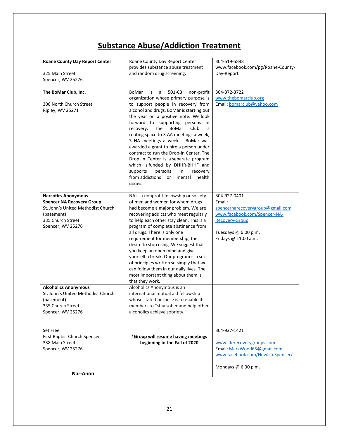### **Substance Abuse/Addiction Treatment**

| <b>Roane County Day Report Center</b><br>325 Main Street<br>Spencer, WV 25276                                                                                | Roane County Day Report Center<br>provides substance abuse treatment<br>and random drug screening.                                                                                                                                                                                                                                                                                                                                                                                                                                                                                                                                           | 304-519-5898<br>www.facebook.com/pg/Roane-County-<br>Day-Report                                                                                                     |
|--------------------------------------------------------------------------------------------------------------------------------------------------------------|----------------------------------------------------------------------------------------------------------------------------------------------------------------------------------------------------------------------------------------------------------------------------------------------------------------------------------------------------------------------------------------------------------------------------------------------------------------------------------------------------------------------------------------------------------------------------------------------------------------------------------------------|---------------------------------------------------------------------------------------------------------------------------------------------------------------------|
| The BoMar Club, Inc.<br>306 North Church Street<br>Ripley, WV 25271                                                                                          | 501-C3<br><b>BoMar</b><br>is<br>a<br>non-profit<br>organization whose primary purpose is<br>to support people in recovery from<br>alcohol and drugs. BoMar is starting out<br>the year on a positive note. We look<br>forward to supporting persons in<br>recovery. The<br>BoMar<br>Club<br>is<br>renting space to 3 AA meetings a week,<br>3 NA meetings a week, . BoMar was<br>awarded a grant to hire a person under<br>contract to run the Drop-In Center. The<br>Drop In Center is a separate program<br>which is funded by DHHR-BHHF and<br>supports<br>persons<br>in<br>recovery<br>from addictions<br>or<br>mental health<br>issues. | 304-372-3722<br>www.thebomarclub.org<br>Email: bomarclub@yahoo.com                                                                                                  |
| <b>Narcotics Anonymous</b><br><b>Spencer NA Recovery Group</b><br>St. John's United Methodist Church<br>(basement)<br>335 Church Street<br>Spencer, WV 25276 | NA is a nonprofit fellowship or society<br>of men and women for whom drugs<br>had become a major problem. We are<br>recovering addicts who meet regularly<br>to help each other stay clean. This is a<br>program of complete abstinence from<br>all drugs. There is only one<br>requirement for membership, the<br>desire to stop using. We suggest that<br>you keep an open mind and give<br>yourself a break. Our program is a set<br>of principles written so simply that we<br>can follow them in our daily lives. The<br>most important thing about them is<br>that they work.                                                          | 304-927-0401<br>Email:<br>spencernarecoverygroup@gmail.com<br>www.facebook.com/Spencer-NA-<br><b>Recovery-Group</b><br>Tuesdays @ 6:00 p.m.<br>Fridays @ 11:00 a.m. |
| <b>Alcoholics Anonymous</b><br>St. John's United Methodist Church<br>(basement)<br>335 Church Street<br>Spencer, WV 25276                                    | Alcoholics Anonymous is an<br>international mutual aid fellowship<br>whose stated purpose is to enable its<br>members to "stay sober and help other<br>alcoholics achieve sobriety."                                                                                                                                                                                                                                                                                                                                                                                                                                                         |                                                                                                                                                                     |
| Set Free<br>First Baptist Church Spencer<br>338 Main Street<br>Spencer, WV 25276                                                                             | *Group will resume having meetings<br>beginning in the Fall of 2020                                                                                                                                                                                                                                                                                                                                                                                                                                                                                                                                                                          | 304-927-1421<br>www.liferecoverygroups.com<br>Email: MarkWood65@gmail.com<br>www.facebook.com/NewLifeSpencer/<br>Mondays @ 6:30 p.m.                                |
| Nar-Anon                                                                                                                                                     |                                                                                                                                                                                                                                                                                                                                                                                                                                                                                                                                                                                                                                              |                                                                                                                                                                     |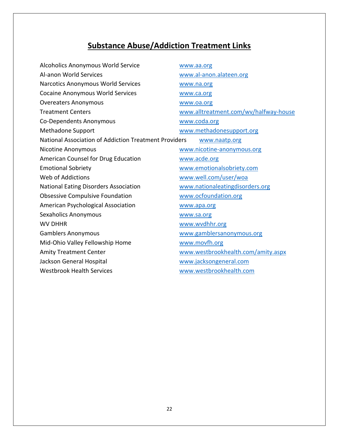# **Substance Abuse/Addiction Treatment Links**

| Alcoholics Anonymous World Service                    | www.aa.org                            |
|-------------------------------------------------------|---------------------------------------|
| Al-anon World Services                                | www.al-anon.alateen.org               |
| Narcotics Anonymous World Services                    | www.na.org                            |
| <b>Cocaine Anonymous World Services</b>               | www.ca.org                            |
| <b>Overeaters Anonymous</b>                           | www.oa.org                            |
| <b>Treatment Centers</b>                              | www.alltreatment.com/wv/halfway-house |
| Co-Dependents Anonymous                               | www.coda.org                          |
| <b>Methadone Support</b>                              | www.methadonesupport.org              |
| National Association of Addiction Treatment Providers | www.naatp.org                         |
| <b>Nicotine Anonymous</b>                             | www.nicotine-anonymous.org            |
| American Counsel for Drug Education                   | www.acde.org                          |
| <b>Emotional Sobriety</b>                             | www.emotionalsobriety.com             |
| Web of Addictions                                     | www.well.com/user/woa                 |
| National Eating Disorders Association                 | www.nationaleatingdisorders.org       |
| <b>Obsessive Compulsive Foundation</b>                | www.ocfoundation.org                  |
| American Psychological Association                    | www.apa.org                           |
| <b>Sexaholics Anonymous</b>                           | www.sa.org                            |
| <b>WV DHHR</b>                                        | www.wvdhhr.org                        |
| <b>Gamblers Anonymous</b>                             | www.gamblersanonymous.org             |
| Mid-Ohio Valley Fellowship Home                       | www.movfh.org                         |
| <b>Amity Treatment Center</b>                         | www.westbrookhealth.com/amity.aspx    |
| Jackson General Hospital                              | www.jacksongeneral.com                |
| <b>Westbrook Health Services</b>                      | www.westbrookhealth.com               |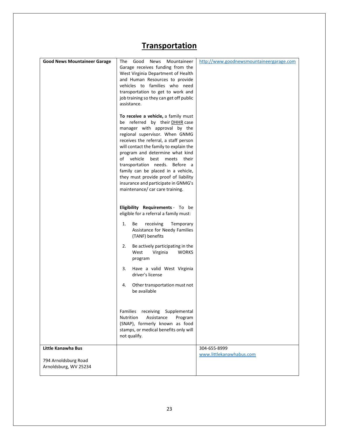### **Transportation**

| <b>Good News Mountaineer Garage</b>                                 | The<br>Good<br>News<br>Mountaineer<br>Garage receives funding from the<br>West Virginia Department of Health<br>and Human Resources to provide<br>vehicles to families who need<br>transportation to get to work and<br>job training so they can get off public<br>assistance.<br>To receive a vehicle, a family must<br>be referred by their DHHR case<br>manager with approval by the<br>regional supervisor. When GNMG<br>receives the referral, a staff person<br>will contact the family to explain the<br>program and determine what kind<br>of vehicle<br>best meets their<br>transportation needs. Before a<br>family can be placed in a vehicle,<br>they must provide proof of liability<br>insurance and participate in GNMG's<br>maintenance/ car care training.<br>Eligibility Requirements - To be<br>eligible for a referral a family must: | http://www.goodnewsmountaineergarage.com |
|---------------------------------------------------------------------|-----------------------------------------------------------------------------------------------------------------------------------------------------------------------------------------------------------------------------------------------------------------------------------------------------------------------------------------------------------------------------------------------------------------------------------------------------------------------------------------------------------------------------------------------------------------------------------------------------------------------------------------------------------------------------------------------------------------------------------------------------------------------------------------------------------------------------------------------------------|------------------------------------------|
|                                                                     | (TANF) benefits<br>Be actively participating in the<br>2.<br>Virginia<br><b>WORKS</b><br>West<br>program<br>Have a valid West Virginia<br>3.<br>driver's license<br>4.<br>Other transportation must not<br>be available<br>Families receiving Supplemental<br><b>Nutrition</b><br>Assistance<br>Program                                                                                                                                                                                                                                                                                                                                                                                                                                                                                                                                                   |                                          |
|                                                                     | (SNAP), formerly known as food<br>stamps, or medical benefits only will<br>not qualify.                                                                                                                                                                                                                                                                                                                                                                                                                                                                                                                                                                                                                                                                                                                                                                   |                                          |
| Little Kanawha Bus<br>794 Arnoldsburg Road<br>Arnoldsburg, WV 25234 |                                                                                                                                                                                                                                                                                                                                                                                                                                                                                                                                                                                                                                                                                                                                                                                                                                                           | 304-655-8999<br>www.littlekanawhabus.com |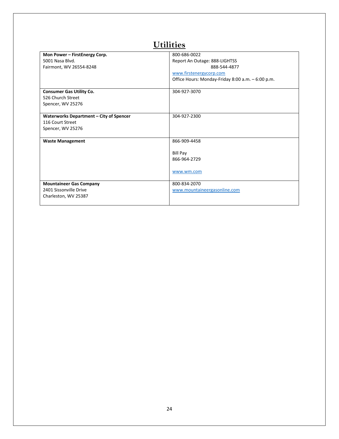| Mon Power - FirstEnergy Corp.           | 800-686-0022                                      |
|-----------------------------------------|---------------------------------------------------|
| 5001 Nasa Blvd.                         | Report An Outage: 888-LIGHTSS                     |
| Fairmont, WV 26554-8248                 | 888-544-4877                                      |
|                                         | www.firstenergycorp.com                           |
|                                         | Office Hours: Monday-Friday 8:00 a.m. - 6:00 p.m. |
|                                         |                                                   |
| <b>Consumer Gas Utility Co.</b>         | 304-927-3070                                      |
| 526 Church Street                       |                                                   |
| Spencer, WV 25276                       |                                                   |
|                                         |                                                   |
| Waterworks Department - City of Spencer | 304-927-2300                                      |
| 116 Court Street                        |                                                   |
| Spencer, WV 25276                       |                                                   |
|                                         |                                                   |
| <b>Waste Management</b>                 | 866-909-4458                                      |
|                                         |                                                   |
|                                         | <b>Bill Pay</b>                                   |
|                                         | 866-964-2729                                      |
|                                         |                                                   |
|                                         | www.wm.com                                        |
|                                         |                                                   |
| <b>Mountaineer Gas Company</b>          | 800-834-2070                                      |
| 2401 Sissonville Drive                  | www.mountaineergasonline.com                      |
| Charleston, WV 25387                    |                                                   |
|                                         |                                                   |

### **Utilities**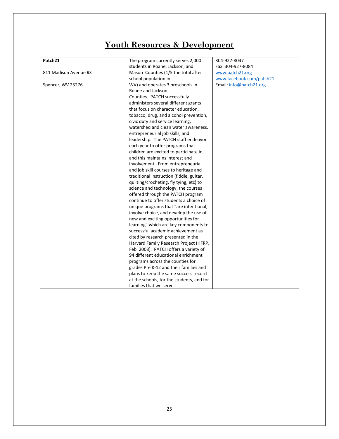# **Youth Resources & Development**

| Patch21               | The program currently serves 2,000        | 304-927-8047             |
|-----------------------|-------------------------------------------|--------------------------|
|                       | students in Roane, Jackson, and           | Fax: 304-927-8084        |
| 811 Madison Avenue #3 | Mason Counties (1/5 the total after       | www.patch21.org          |
|                       | school population in                      | www.facebook.com/patch21 |
| Spencer, WV 25276     | WV) and operates 3 preschools in          | Email: info@patch21.org  |
|                       | Roane and Jackson                         |                          |
|                       | Counties. PATCH successfully              |                          |
|                       | administers several different grants      |                          |
|                       | that focus on character education,        |                          |
|                       | tobacco, drug, and alcohol prevention,    |                          |
|                       | civic duty and service learning,          |                          |
|                       | watershed and clean water awareness,      |                          |
|                       | entrepreneurial job skills, and           |                          |
|                       | leadership. The PATCH staff endeavor      |                          |
|                       | each year to offer programs that          |                          |
|                       | children are excited to participate in,   |                          |
|                       | and this maintains interest and           |                          |
|                       | involvement. From entrepreneurial         |                          |
|                       | and job skill courses to heritage and     |                          |
|                       | traditional instruction (fiddle, guitar,  |                          |
|                       | quilting/crocheting, fly tying, etc) to   |                          |
|                       | science and technology, the courses       |                          |
|                       | offered through the PATCH program         |                          |
|                       | continue to offer students a choice of    |                          |
|                       | unique programs that "are intentional,    |                          |
|                       | involve choice, and develop the use of    |                          |
|                       | new and exciting opportunities for        |                          |
|                       | learning" which are key components to     |                          |
|                       | successful academic achievement as        |                          |
|                       | cited by research presented in the        |                          |
|                       | Harvard Family Research Project (HFRP,    |                          |
|                       | Feb. 2008). PATCH offers a variety of     |                          |
|                       | 94 different educational enrichment       |                          |
|                       | programs across the counties for          |                          |
|                       | grades Pre K-12 and their families and    |                          |
|                       | plans to keep the same success record     |                          |
|                       | at the schools, for the students, and for |                          |
|                       | families that we serve.                   |                          |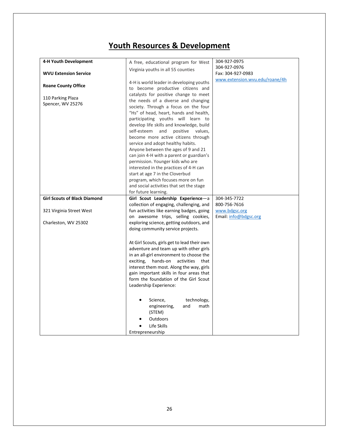### **Youth Resources & Development**

| 4-H Youth Development<br><b>WVU Extension Service</b><br><b>Roane County Office</b>     | A free, educational program for West<br>Virginia youths in all 55 counties<br>4-H is world leader in developing youths                                                                                                                                                                                                                                                                                                                                                                                                                                                                                                                                                                                                 | 304-927-0975<br>304-927-0976<br>Fax: 304-927-0983<br>www.extension.wvu.edu/roane/4h |
|-----------------------------------------------------------------------------------------|------------------------------------------------------------------------------------------------------------------------------------------------------------------------------------------------------------------------------------------------------------------------------------------------------------------------------------------------------------------------------------------------------------------------------------------------------------------------------------------------------------------------------------------------------------------------------------------------------------------------------------------------------------------------------------------------------------------------|-------------------------------------------------------------------------------------|
| 110 Parking Plaza<br>Spencer, WV 25276                                                  | to become productive citizens and<br>catalysts for positive change to meet<br>the needs of a diverse and changing<br>society. Through a focus on the four<br>"Hs" of head, heart, hands and health,<br>participating youths will learn to<br>develop life skills and knowledge, build<br>self-esteem and<br>positive values,<br>become more active citizens through<br>service and adopt healthy habits.<br>Anyone between the ages of 9 and 21<br>can join 4-H with a parent or guardian's<br>permission. Younger kids who are<br>interested in the practices of 4-H can<br>start at age 7 in the Cloverbud<br>program, which focuses more on fun<br>and social activities that set the stage<br>for future learning. |                                                                                     |
| <b>Girl Scouts of Black Diamond</b><br>321 Virginia Street West<br>Charleston, WV 25302 | Girl Scout Leadership Experience-a<br>collection of engaging, challenging, and<br>fun activities like earning badges, going<br>on awesome trips, selling cookies,<br>exploring science, getting outdoors, and<br>doing community service projects.                                                                                                                                                                                                                                                                                                                                                                                                                                                                     | 304-345-7722<br>800-756-7616<br>www.bdgsc.org<br>Email: info@bdgsc.org              |
|                                                                                         | At Girl Scouts, girls get to lead their own<br>adventure and team up with other girls<br>in an all-girl environment to choose the<br>exciting, hands-on<br>activities<br>that<br>interest them most. Along the way, girls<br>gain important skills in four areas that<br>form the foundation of the Girl Scout<br>Leadership Experience:                                                                                                                                                                                                                                                                                                                                                                               |                                                                                     |
|                                                                                         | Science,<br>technology,<br>engineering,<br>and<br>math<br>(STEM)<br><b>Outdoors</b><br>Life Skills<br>Entrepreneurship                                                                                                                                                                                                                                                                                                                                                                                                                                                                                                                                                                                                 |                                                                                     |